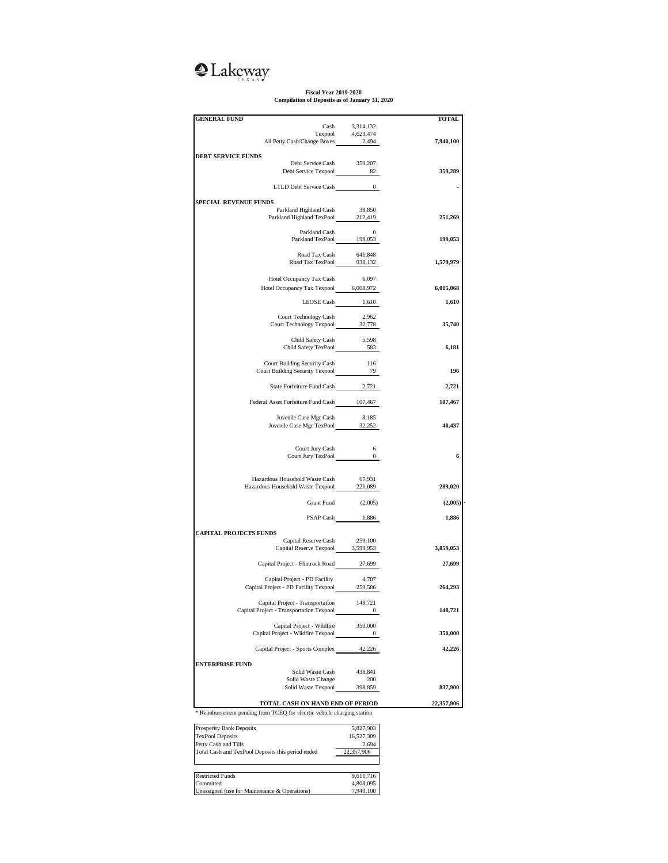## **Q**Lakeway

**Fiscal Year 2019-2020 Compilation of Deposits as of January 31, 2020**

| <b>GENERAL FUND</b>                                                                |                                                                             | <b>TOTAL</b> |
|------------------------------------------------------------------------------------|-----------------------------------------------------------------------------|--------------|
|                                                                                    |                                                                             |              |
|                                                                                    | $\begin{tabular}{ll} Cash & 3,314,132 \\ Texpool & 4,623,474 \end{tabular}$ |              |
| All Petty Cash/Change Boxes 2,494                                                  |                                                                             | 7,940,100    |
| <b>DEBT SERVICE FUNDS</b>                                                          |                                                                             |              |
| Debt Service Cash 359,207                                                          |                                                                             |              |
| Debt Service Casu<br>Debt Service Texpool 82                                       |                                                                             | 359,289      |
|                                                                                    |                                                                             |              |
| LTLD Debt Service Cash 0                                                           |                                                                             |              |
|                                                                                    |                                                                             |              |
| <b>SPECIAL REVENUE FUNDS</b>                                                       |                                                                             |              |
| Parkland Highland Cash                                                             | 38,850                                                                      |              |
| Parkland Highland TexPool 212,419                                                  |                                                                             | 251,269      |
|                                                                                    |                                                                             |              |
| Parkland Cash 0<br>Parkland TexPool 199,053                                        |                                                                             | 199,053      |
|                                                                                    |                                                                             |              |
|                                                                                    |                                                                             |              |
| Road Tax Cash 641,848<br>Road Tax TexPool 938,132                                  |                                                                             | 1,579,979    |
|                                                                                    |                                                                             |              |
| Hotel Occupancy Tax Cash                                                           | 6,097                                                                       |              |
| Hotel Occupancy Tax Texpool 6,008,972                                              |                                                                             | 6,015,068    |
|                                                                                    |                                                                             |              |
| LEOSE Cash 1,610                                                                   |                                                                             | 1,610        |
| Court Technology Cash                                                              | 2,962                                                                       |              |
| Court Technology Texpool 32,778                                                    |                                                                             | 35,740       |
|                                                                                    |                                                                             |              |
| Child Safety Cash                                                                  | 5,598                                                                       |              |
| Child Safety TexPool 583                                                           |                                                                             | 6,181        |
|                                                                                    |                                                                             |              |
| Court Building Security Cash                                                       | 116                                                                         |              |
| Court Building Security Texpool 79                                                 |                                                                             | 196          |
|                                                                                    |                                                                             |              |
| State Forfeiture Fund Cash 2,721                                                   |                                                                             | 2,721        |
|                                                                                    |                                                                             |              |
| Federal Asset Forfeiture Fund Cash 107,467                                         |                                                                             | 107,467      |
|                                                                                    |                                                                             |              |
| Juvenile Case Mgr Cash<br>Juvenile Case Mgr TexPool 32,252                         | 8,185                                                                       | 40,437       |
|                                                                                    |                                                                             |              |
|                                                                                    |                                                                             |              |
| Court Jury Cash                                                                    | 6                                                                           |              |
| $Court Jury TexPool$ $0$                                                           |                                                                             | 6            |
|                                                                                    |                                                                             |              |
|                                                                                    |                                                                             |              |
| Hazardous Household Waste Cash 67,931<br>Hazardous Household Waste Texpool 221,089 |                                                                             |              |
|                                                                                    |                                                                             | 289,020      |
|                                                                                    |                                                                             |              |
| <b>Grant Fund</b>                                                                  | (2,005)                                                                     | (2,005)      |
|                                                                                    |                                                                             |              |
|                                                                                    | PSAP Cash 1,886                                                             | 1,886        |
| <b>CAPITAL PROJECTS FUNDS</b>                                                      |                                                                             |              |
| Capital Reserve Cash                                                               | 259,100                                                                     |              |
| Capital Reserve Texpool 3,599,953                                                  |                                                                             | 3,859,053    |
|                                                                                    |                                                                             |              |
| Capital Project - Flintrock Road 27,699                                            |                                                                             | 27,699       |
|                                                                                    |                                                                             |              |
| Capital Project - PD Facility                                                      | 4,707                                                                       |              |
| Capital Project - PD Facility Texpool 259,586                                      |                                                                             | 264,293      |
|                                                                                    |                                                                             |              |
| Capital Project - Transportation                                                   | 148,721                                                                     | 148,721      |
| Capital Project - Transportation Texpool                                           | 0                                                                           |              |
| Capital Project - Wildfire                                                         | 350,000                                                                     |              |
| Capital Project - Wildfire Texpool                                                 | $\bf{0}$                                                                    | 350,000      |
|                                                                                    |                                                                             |              |
| Capital Project - Sports Complex                                                   | 42,226                                                                      | 42,226       |
|                                                                                    |                                                                             |              |
| <b>ENTERPRISE FUND</b>                                                             |                                                                             |              |
| Solid Waste Cash                                                                   | 438,841                                                                     |              |
| Solid Waste Change                                                                 | 200                                                                         |              |
| Solid Waste Texpool                                                                | 398,859                                                                     | 837,900      |
|                                                                                    |                                                                             |              |
| TOTAL CASH ON HAND END OF PERIOD                                                   |                                                                             | 22,357,906   |

\* Reimbursement pending from TCEQ for elecrtic vehicle charging station

| <b>Prosperity Bank Deposits</b>                   | 5,827,903  |
|---------------------------------------------------|------------|
| <b>TexPool Deposits</b>                           | 16,527,309 |
| Petty Cash and Tills                              | 2.694      |
| Total Cash and TexPool Deposits this period ended | 22,357,906 |
|                                                   |            |
| <b>Restricted Funds</b>                           | 9,611,716  |
| Committed                                         | 4,808,095  |
|                                                   | 7.940.100  |